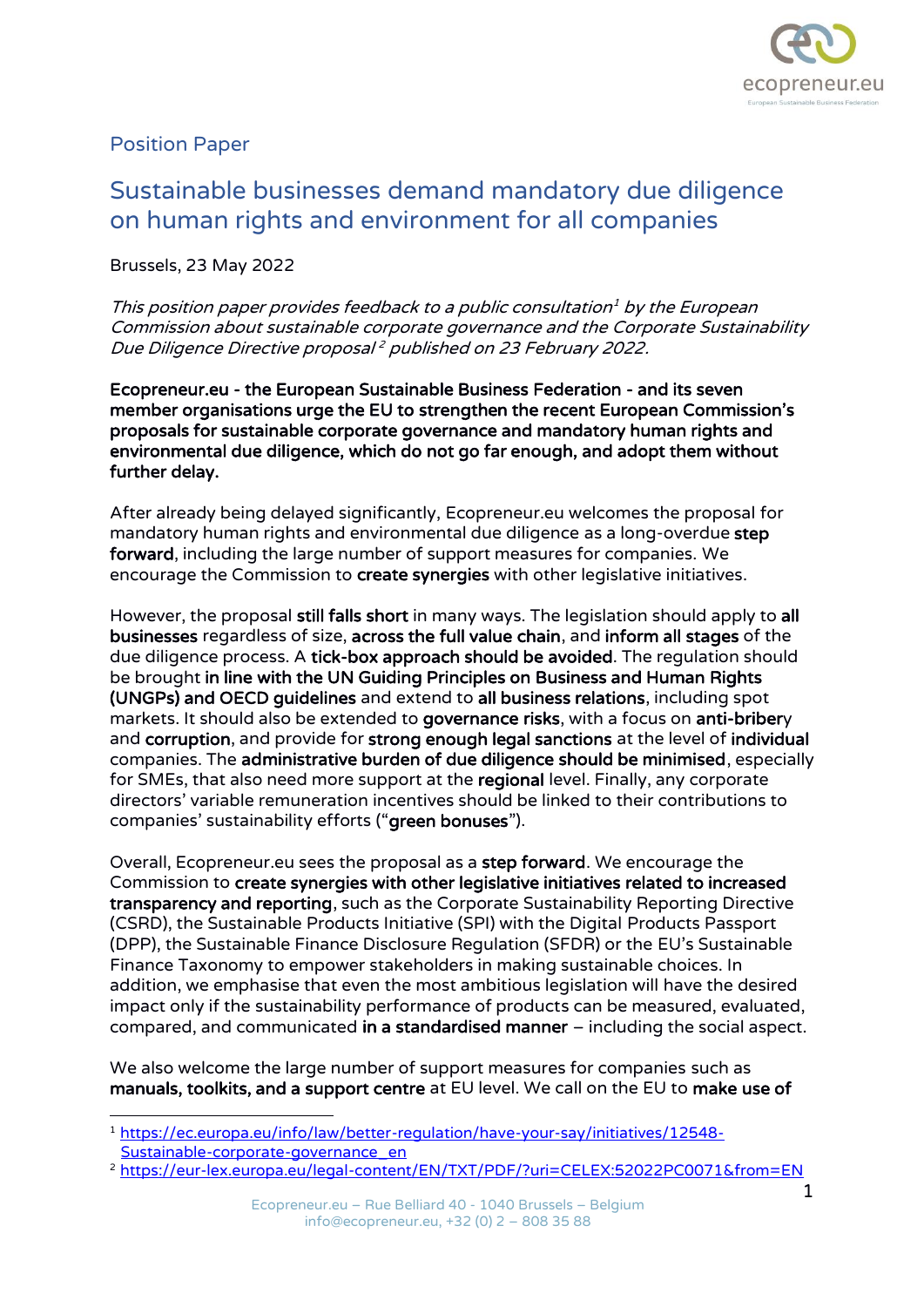

## Position Paper

## Sustainable businesses demand mandatory due diligence on human rights and environment for all companies

Brussels, 23 May 2022

This position paper provides feedback to a public consultation <sup>1</sup> by the European Commission about sustainable corporate governance and the Corporate Sustainability Due Diligence Directive proposal <sup>2</sup> published on 23 February 2022.

Ecopreneur.eu - the European Sustainable Business Federation - and its seven member organisations urge the EU to strengthen the recent European Commission's proposals for sustainable corporate governance and mandatory human rights and environmental due diligence, which do not go far enough, and adopt them without further delay.

After already being delayed significantly, Ecopreneur.eu welcomes the proposal for mandatory human rights and environmental due diligence as a long-overdue step forward, including the large number of support measures for companies. We encourage the Commission to create synergies with other legislative initiatives.

However, the proposal still falls short in many ways. The legislation should apply to all businesses regardless of size, across the full value chain, and inform all stages of the due diligence process. A tick-box approach should be avoided. The regulation should be brought in line with the UN Guiding Principles on Business and Human Rights (UNGPs) and OECD guidelines and extend to all business relations, including spot markets. It should also be extended to governance risks, with a focus on anti-bribery and corruption, and provide for strong enough legal sanctions at the level of individual companies. The administrative burden of due diligence should be minimised, especially for SMEs, that also need more support at the regional level. Finally, any corporate directors' variable remuneration incentives should be linked to their contributions to companies' sustainability efforts ("green bonuses").

Overall, Ecopreneur.eu sees the proposal as a step forward. We encourage the Commission to create synergies with other legislative initiatives related to increased transparency and reporting, such as the Corporate Sustainability Reporting Directive (CSRD), the Sustainable Products Initiative (SPI) with the Digital Products Passport (DPP), the Sustainable Finance Disclosure Regulation (SFDR) or the EU's Sustainable Finance Taxonomy to empower stakeholders in making sustainable choices. In addition, we emphasise that even the most ambitious legislation will have the desired impact only if the sustainability performance of products can be measured, evaluated, compared, and communicated in a standardised manner – including the social aspect.

We also welcome the large number of support measures for companies such as manuals, toolkits, and a support centre at EU level. We call on the EU to make use of

<sup>2</sup> <https://eur-lex.europa.eu/legal-content/EN/TXT/PDF/?uri=CELEX:52022PC0071&from=EN>

<sup>1</sup> [https://ec.europa.eu/info/law/better-regulation/have-your-say/initiatives/12548-](https://ec.europa.eu/info/law/better-regulation/have-your-say/initiatives/12548-Sustainable-corporate-governance_en) [Sustainable-corporate-governance\\_en](https://ec.europa.eu/info/law/better-regulation/have-your-say/initiatives/12548-Sustainable-corporate-governance_en)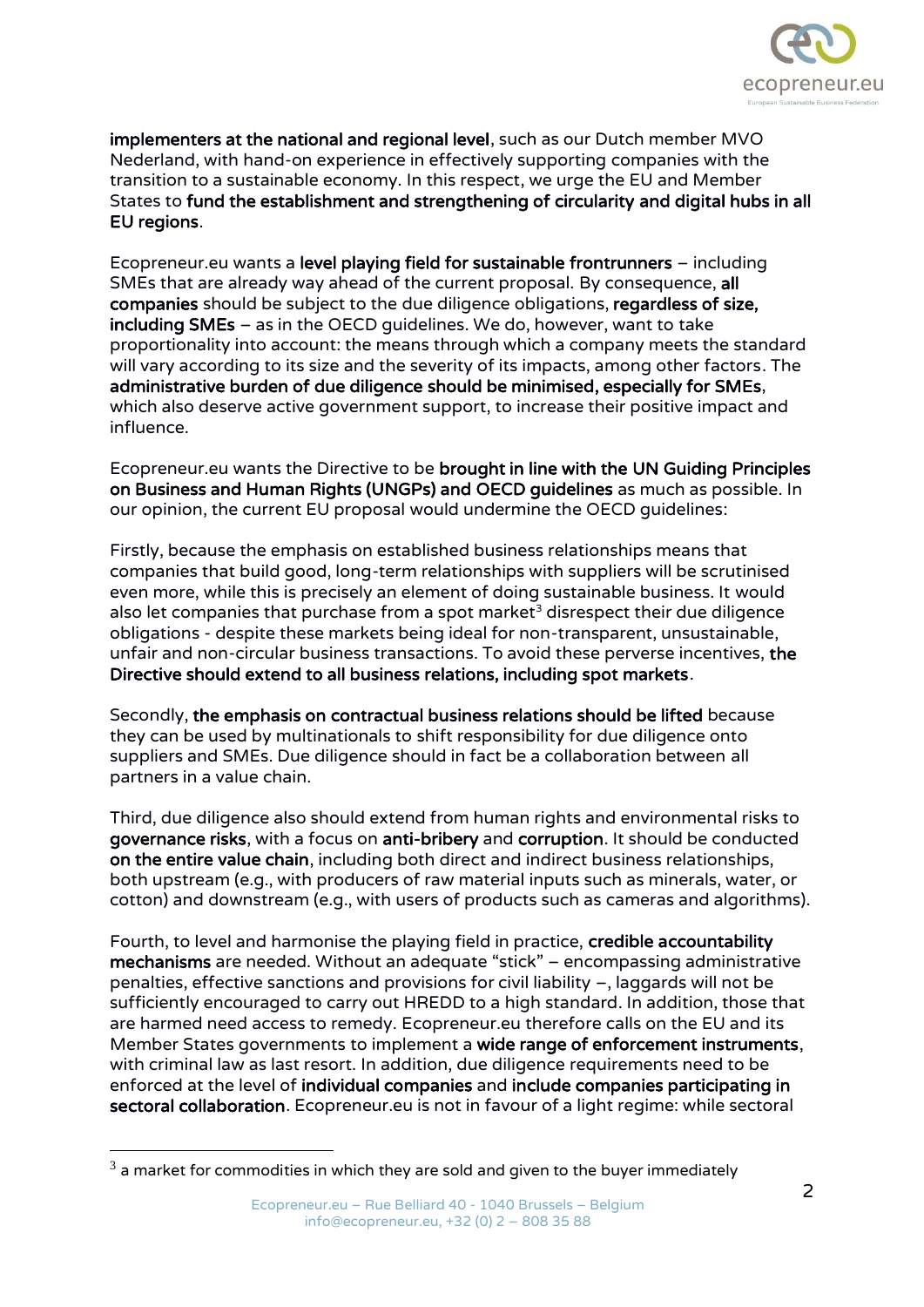

implementers at the national and regional level, such as our Dutch member MVO Nederland, with hand-on experience in effectively supporting companies with the transition to a sustainable economy. In this respect, we urge the EU and Member States to fund the establishment and strengthening of circularity and digital hubs in all EU regions.

Ecopreneur.eu wants a level playing field for sustainable frontrunners – including SMEs that are already way ahead of the current proposal. By consequence, all companies should be subject to the due diligence obligations, regardless of size, including SMEs – as in the OECD guidelines. We do, however, want to take proportionality into account: the means through which a company meets the standard will vary according to its size and the severity of its impacts, among other factors. The administrative burden of due diligence should be minimised, especially for SMEs, which also deserve active government support, to increase their positive impact and influence.

Ecopreneur.eu wants the Directive to be brought in line with the UN Guiding Principles on Business and Human Rights (UNGPs) and OECD guidelines as much as possible. In our opinion, the current EU proposal would undermine the OECD guidelines:

Firstly, because the emphasis on established business relationships means that companies that build good, long-term relationships with suppliers will be scrutinised even more, while this is precisely an element of doing sustainable business. It would also let companies that purchase from a spot market<sup>3</sup> disrespect their due diligence obligations - despite these markets being ideal for non-transparent, unsustainable, unfair and non-circular business transactions. To avoid these perverse incentives, the Directive should extend to all business relations, including spot markets.

Secondly, the emphasis on contractual business relations should be lifted because they can be used by multinationals to shift responsibility for due diligence onto suppliers and SMEs. Due diligence should in fact be a collaboration between all partners in a value chain.

Third, due diligence also should extend from human rights and environmental risks to governance risks, with a focus on anti-bribery and corruption. It should be conducted on the entire value chain, including both direct and indirect business relationships, both upstream (e.g., with producers of raw material inputs such as minerals, water, or cotton) and downstream (e.g., with users of products such as cameras and algorithms).

Fourth, to level and harmonise the playing field in practice, credible accountability mechanisms are needed. Without an adequate "stick" – encompassing administrative penalties, effective sanctions and provisions for civil liability –, laggards will not be sufficiently encouraged to carry out HREDD to a high standard. In addition, those that are harmed need access to remedy. Ecopreneur.eu therefore calls on the EU and its Member States governments to implement a wide range of enforcement instruments, with criminal law as last resort. In addition, due diligence requirements need to be enforced at the level of individual companies and include companies participating in sectoral collaboration. Ecopreneur.eu is not in favour of a light regime: while sectoral

 $3$  a market for commodities in which they are sold and given to the buyer immediately